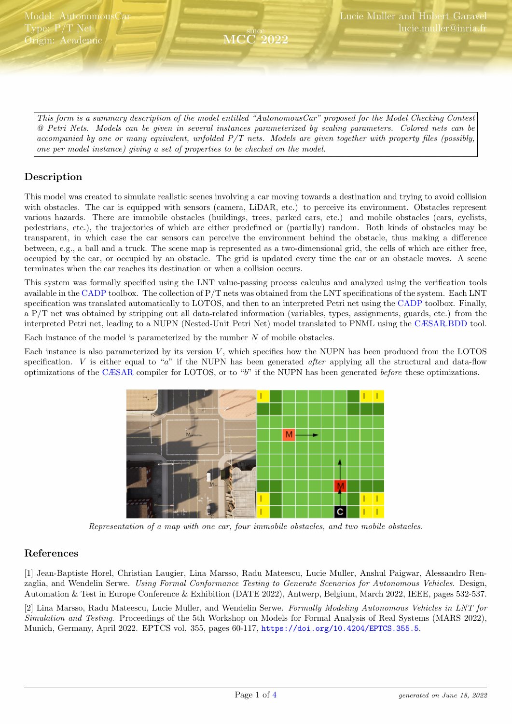<span id="page-0-0"></span>This form is a summary description of the model entitled "AutonomousCar" proposed for the Model Checking Contest @ Petri Nets. Models can be given in several instances parameterized by scaling parameters. Colored nets can be accompanied by one or many equivalent, unfolded P/T nets. Models are given together with property files (possibly, one per model instance) giving a set of properties to be checked on the model.

since MCC 2022

# Description

This model was created to simulate realistic scenes involving a car moving towards a destination and trying to avoid collision with obstacles. The car is equipped with sensors (camera, LiDAR, etc.) to perceive its environment. Obstacles represent various hazards. There are immobile obstacles (buildings, trees, parked cars, etc.) and mobile obstacles (cars, cyclists, pedestrians, etc.), the trajectories of which are either predefined or (partially) random. Both kinds of obstacles may be transparent, in which case the car sensors can perceive the environment behind the obstacle, thus making a difference between, e.g., a ball and a truck. The scene map is represented as a two-dimensional grid, the cells of which are either free, occupied by the car, or occupied by an obstacle. The grid is updated every time the car or an obstacle moves. A scene terminates when the car reaches its destination or when a collision occurs.

This system was formally specified using the LNT value-passing process calculus and analyzed using the verification tools available in the [CADP](http://cadp.inria.fr) toolbox. The collection of P/T nets was obtained from the LNT specifications of the system. Each LNT specification was translated automatically to LOTOS, and then to an interpreted Petri net using the [CADP](http://cadp.inria.fr) toolbox. Finally, a P/T net was obtained by stripping out all data-related information (variables, types, assignments, guards, etc.) from the interpreted Petri net, leading to a NUPN (Nested-Unit Petri Net) model translated to PNML using the [CÆSAR.BDD](http://cadp.inria.fr/man/caesar.bdd.html) tool.

Each instance of the model is parameterized by the number  $N$  of mobile obstacles.

Each instance is also parameterized by its version  $V$ , which specifies how the NUPN has been produced from the LOTOS specification. V is either equal to "a" if the NUPN has been generated *after* applying all the structural and data-flow optimizations of the [CÆSAR](http://cadp.inria.fr/man/caesar.html) compiler for LOTOS, or to "b" if the NUPN has been generated before these optimizations.



Representation of a map with one car, four immobile obstacles, and two mobile obstacles.

## References

[1] Jean-Baptiste Horel, Christian Laugier, Lina Marsso, Radu Mateescu, Lucie Muller, Anshul Paigwar, Alessandro Renzaglia, and Wendelin Serwe. Using Formal Conformance Testing to Generate Scenarios for Autonomous Vehicles. Design, Automation & Test in Europe Conference & Exhibition (DATE 2022), Antwerp, Belgium, March 2022, IEEE, pages 532-537.

[2] Lina Marsso, Radu Mateescu, Lucie Muller, and Wendelin Serwe. Formally Modeling Autonomous Vehicles in LNT for Simulation and Testing. Proceedings of the 5th Workshop on Models for Formal Analysis of Real Systems (MARS 2022), Munich, Germany, April 2022. EPTCS vol. 355, pages 60-117, <https://doi.org/10.4204/EPTCS.355.5>.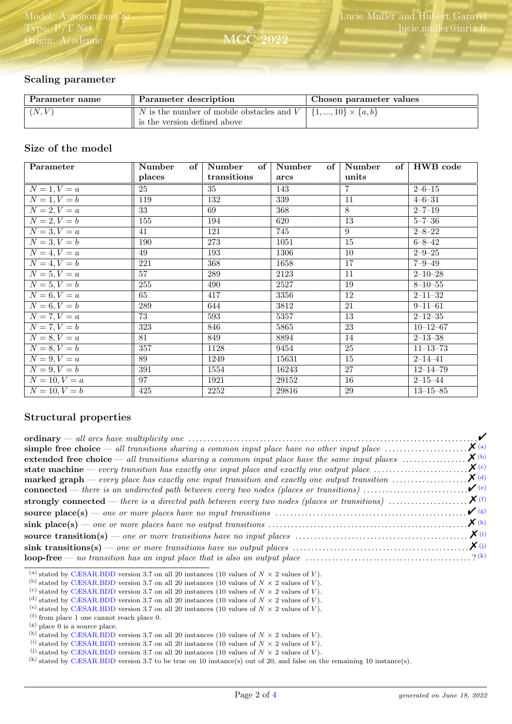## Scaling parameter

| Parameter description                                 | Chosen parameter values                  |
|-------------------------------------------------------|------------------------------------------|
| $\parallel$ N is the number of mobile obstacles and V | $\{1, , 10\} \times \{a, b\}$            |
|                                                       | $\parallel$ is the version defined above |

since MCC 2022

### Size of the model

| Parameter             | Number<br>$of \vert$ | Number      | of   Number<br>of | Number          | of   HWB code  |
|-----------------------|----------------------|-------------|-------------------|-----------------|----------------|
|                       | places               | transitions | arcs              | units           |                |
| $N=1, V=a$            | 25                   | 35          | 143               | 7               | $2 - 6 - 15$   |
| $N=1, V=b$            | $\overline{119}$     | 132         | 339               | $\overline{11}$ | $4 - 6 - 31$   |
| $N=2, V=a$            | 33                   | 69          | 368               | 8               | $2 - 7 - 19$   |
| $N=2, V=b$            | 155                  | 194         | 620               | $\overline{13}$ | $5 - 7 - 36$   |
| $N=3, V=a$            | 41                   | 121         | 745               | 9               | $2 - 8 - 22$   |
| $N=3, V=b$            | 190                  | 273         | 1051              | $\overline{15}$ | $6 - 8 - 42$   |
| $\overline{N=4, V=a}$ | 49                   | 193         | 1306              | $\overline{10}$ | $2 - 9 - 25$   |
| $N=4, V=b$            | 221                  | 368         | 1658              | 17              | $7 - 9 - 49$   |
| $N=5, V=a$            | 57                   | 289         | $\overline{2123}$ | 11              | $2 - 10 - 28$  |
| $N=5, V=b$            | 255                  | 490         | 2527              | $\overline{19}$ | $8 - 10 - 55$  |
| $\overline{N=6, V}=a$ | 65                   | 417         | 3356              | 12              | $2 - 11 - 32$  |
| $N=6, V=b$            | 289                  | 644         | 3812              | $\overline{21}$ | $9 - 11 - 61$  |
| $\overline{N=7}, V=a$ | $\overline{73}$      | 593         | 5357              | $\overline{13}$ | $2 - 12 - 35$  |
| $N=7, V=b$            | 323                  | 846         | 5865              | 23              | $10 - 12 - 67$ |
| $N=8, V=a$            | 81                   | 849         | 8894              | 14              | $2 - 13 - 38$  |
| $\overline{N=8, V=b}$ | 357                  | 1128        | 9454              | $\overline{25}$ | $11 - 13 - 73$ |
| $N = 9, V = a$        | 89                   | 1249        | 15631             | 15              | $2 - 14 - 41$  |
| $N=9, V=b$            | 391                  | 1554        | 16243             | 27              | $12 - 14 - 79$ |
| $N = 10, V = a$       | 97                   | 1921        | 29152             | 16              | $2 - 15 - 44$  |
| $N = 10, V = b$       | 425                  | 2252        | 29816             | 29              | $13 - 15 - 85$ |

## Structural properties

| extended free choice — all transitions sharing a common input place have the same input places $X^{(b)}$ |  |
|----------------------------------------------------------------------------------------------------------|--|
|                                                                                                          |  |
|                                                                                                          |  |
|                                                                                                          |  |
|                                                                                                          |  |
|                                                                                                          |  |
|                                                                                                          |  |
|                                                                                                          |  |
|                                                                                                          |  |
|                                                                                                          |  |

<span id="page-1-0"></span><sup>(</sup>a) stated by [CÆSAR.BDD](http://cadp.inria.fr/man/caesar.bdd.html) version 3.7 on all 20 instances (10 values of  $N \times 2$  values of V).

<span id="page-1-1"></span><sup>(</sup>b) stated by [CÆSAR.BDD](http://cadp.inria.fr/man/caesar.bdd.html) version 3.7 on all 20 instances (10 values of  $N \times 2$  values of V).

<span id="page-1-2"></span><sup>&</sup>lt;sup>(c)</sup> stated by [CÆSAR.BDD](http://cadp.inria.fr/man/caesar.bdd.html) version 3.7 on all 20 instances (10 values of  $N \times 2$  values of V).

<span id="page-1-3"></span><sup>(</sup>d) stated by [CÆSAR.BDD](http://cadp.inria.fr/man/caesar.bdd.html) version 3.7 on all 20 instances (10 values of  $N \times 2$  values of  $V$ ).

<span id="page-1-4"></span><sup>(</sup>e) stated by [CÆSAR.BDD](http://cadp.inria.fr/man/caesar.bdd.html) version 3.7 on all 20 instances (10 values of  $N \times 2$  values of V).

<span id="page-1-5"></span><sup>(</sup>f) from place 1 one cannot reach place 0.

<span id="page-1-6"></span> $^{\rm (g)}$  place 0 is a source place.

<span id="page-1-7"></span><sup>(</sup>h) stated by [CÆSAR.BDD](http://cadp.inria.fr/man/caesar.bdd.html) version 3.7 on all 20 instances (10 values of  $N \times 2$  values of V).

<span id="page-1-8"></span><sup>(</sup>i) stated by [CÆSAR.BDD](http://cadp.inria.fr/man/caesar.bdd.html) version 3.7 on all 20 instances (10 values of  $N \times 2$  values of V).

<span id="page-1-9"></span><sup>(</sup>i) stated by [CÆSAR.BDD](http://cadp.inria.fr/man/caesar.bdd.html) version 3.7 on all 20 instances (10 values of  $N \times 2$  values of V).

<span id="page-1-10"></span><sup>(</sup>k) stated by [CÆSAR.BDD](http://cadp.inria.fr/man/caesar.bdd.html) version 3.7 to be true on 10 instance(s) out of 20, and false on the remaining 10 instance(s).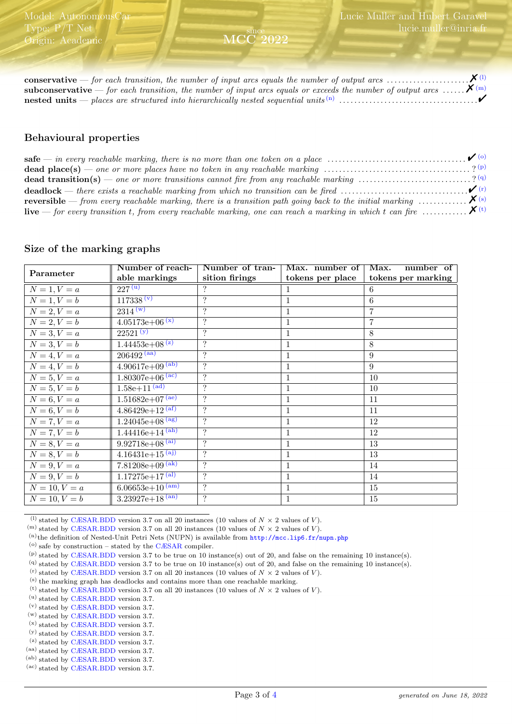| <b>subconservative</b> — for each transition, the number of input arcs equals or exceeds the number of output arcs $\mathbf{X}^{(m)}$ |  |
|---------------------------------------------------------------------------------------------------------------------------------------|--|
|                                                                                                                                       |  |

since MCC 2022

### Behavioural properties

| <b>dead place(s)</b> — one or more places have no token in any reachable marking $\ldots \ldots \ldots \ldots \ldots \ldots \ldots \ldots \ldots$ ? (p) |  |
|---------------------------------------------------------------------------------------------------------------------------------------------------------|--|
| dead transition(s) — one or more transitions cannot fire from any reachable marking ? (9)                                                               |  |
|                                                                                                                                                         |  |
| <b>reversible</b> — from every reachable marking, there is a transition path going back to the initial marking $\ldots \ldots \ldots \mathbf{X}^{(s)}$  |  |
| <b>live</b> — for every transition t, from every reachable marking, one can reach a marking in which t can fire $\ldots$ $\mathsf{X}^{(t)}$             |  |

#### Size of the marking graphs

|                 | Number of reach-                           | Number of tran-    | Max. number of   Max. | number of          |
|-----------------|--------------------------------------------|--------------------|-----------------------|--------------------|
| Parameter       | able markings                              | sition firings     | tokens per place      | tokens per marking |
| $N = 1, V = a$  | $\sqrt{227}$ <sup>(u)</sup>                | ?                  |                       | 6                  |
| $N = 1, V = b$  | 117338 (v)                                 | $\ddot{?}$         |                       | 6                  |
| $N = 2, V = a$  | $2314^{(w)}$                               | $\overline{\cdot}$ | $\mathbf{1}$          | $\overline{7}$     |
| $N = 2, V = b$  | $4.05173e+06^{(x)}$                        | $\overline{?}$     | $\mathbf{1}$          | $\overline{7}$     |
| $N = 3, V = a$  | $22521^{(y)}$                              | $\ddot{?}$         | 1                     | 8                  |
| $N = 3, V = b$  | $1.44453e+08^{(z)}$                        | $\gamma$           | 1                     | 8                  |
| $N = 4, V = a$  | $206492^{(aa)}$                            | $\ddot{?}$         | $\mathbf{1}$          | 9                  |
| $N = 4, V = b$  | $4.90617e+09^{(ab)}$                       | ?                  | 1                     | 9                  |
| $N = 5, V = a$  | $1.80307e+06$ <sup>(ac)</sup>              | $\gamma$           | $\mathbf{1}$          | 10                 |
| $N = 5, V = b$  | $1.58e + 11^{(ad)}$                        | $\overline{?}$     | $\mathbf{1}$          | 10                 |
| $N = 6, V = a$  | $1.51682e+07^{(ae)}$                       | $\overline{\cdot}$ | 1                     | 11                 |
| $N = 6, V = b$  | $4.86429e+12^{(af)}$                       | $\gamma$           | $\mathbf{1}$          | 11                 |
| $N = 7, V = a$  | $1.24045e+08$ <sup>(ag)</sup>              | $\overline{?}$     | $\mathbf{1}$          | 12                 |
| $N = 7, V = b$  | $1.44416e+14^{(ah)}$                       | $\overline{\cdot}$ | $\mathbf{1}$          | 12                 |
| $N = 8, V = a$  | $9.92718e + \overline{08}$ <sup>(ai)</sup> | $\gamma$           | $\mathbf{1}$          | 13                 |
| $N = 8, V = b$  | $4.16431e+15^{(aj)}$                       | $\overline{\cdot}$ | 1                     | 13                 |
| $N = 9, V = a$  | $7.81208e+0.9$ <sup>(ak)</sup>             | $\overline{\cdot}$ | $\mathbf{1}$          | 14                 |
| $N = 9, V = b$  | $1.17275e+17^{(al)}$                       | $\overline{\cdot}$ | $\mathbf{1}$          | 14                 |
| $N = 10, V = a$ | $6.06653e+10^{(\text{am})}$                | $\overline{\cdot}$ | 1                     | 15                 |
| $N = 10, V = b$ | $3.23927e+18^{(an)}$                       | $\gamma$           | $\mathbf{1}$          | 15                 |

<span id="page-2-0"></span><sup>(1)</sup> stated by [CÆSAR.BDD](http://cadp.inria.fr/man/caesar.bdd.html) version 3.7 on all 20 instances (10 values of  $N \times 2$  values of V).

<span id="page-2-1"></span><sup>(m)</sup> stated by [CÆSAR.BDD](http://cadp.inria.fr/man/caesar.bdd.html) version 3.7 on all 20 instances (10 values of  $N \times 2$  values of V).

<span id="page-2-2"></span>(n)the definition of Nested-Unit Petri Nets (NUPN) is available from <http://mcc.lip6.fr/nupn.php>

<span id="page-2-3"></span> $\,^{\rm (o)}$  safe by construction – stated by the [CÆSAR](http://cadp.inria.fr/man/caesar.html) compiler.

<span id="page-2-5"></span>(q) stated by [CÆSAR.BDD](http://cadp.inria.fr/man/caesar.bdd.html) version 3.7 to be true on 10 instance(s) out of 20, and false on the remaining 10 instance(s).

<span id="page-2-6"></span>(r) stated by [CÆSAR.BDD](http://cadp.inria.fr/man/caesar.bdd.html) version 3.7 on all 20 instances (10 values of  $N \times 2$  values of V).

<span id="page-2-7"></span>(s) the marking graph has deadlocks and contains more than one reachable marking.

- <span id="page-2-9"></span>(u) stated by [CÆSAR.BDD](http://cadp.inria.fr/man/caesar.bdd.html) version 3.7.
- (v) stated by [CÆSAR.BDD](http://cadp.inria.fr/man/caesar.bdd.html) version 3.7.
- (w) stated by [CÆSAR.BDD](http://cadp.inria.fr/man/caesar.bdd.html) version 3.7.
- (x) stated by [CÆSAR.BDD](http://cadp.inria.fr/man/caesar.bdd.html) version 3.7. (y) stated by [CÆSAR.BDD](http://cadp.inria.fr/man/caesar.bdd.html) version 3.7.
- (z) stated by [CÆSAR.BDD](http://cadp.inria.fr/man/caesar.bdd.html) version 3.7.
- (aa) stated by [CÆSAR.BDD](http://cadp.inria.fr/man/caesar.bdd.html) version 3.7.
- (ab) stated by [CÆSAR.BDD](http://cadp.inria.fr/man/caesar.bdd.html) version 3.7.
- (ac) stated by [CÆSAR.BDD](http://cadp.inria.fr/man/caesar.bdd.html) version 3.7.

<span id="page-2-4"></span> $(p)$  stated by [CÆSAR.BDD](http://cadp.inria.fr/man/caesar.bdd.html) version 3.7 to be true on 10 instance(s) out of 20, and false on the remaining 10 instance(s).

<span id="page-2-8"></span><sup>&</sup>lt;sup>(t)</sup> stated by [CÆSAR.BDD](http://cadp.inria.fr/man/caesar.bdd.html) version 3.7 on all 20 instances (10 values of  $N \times 2$  values of V).